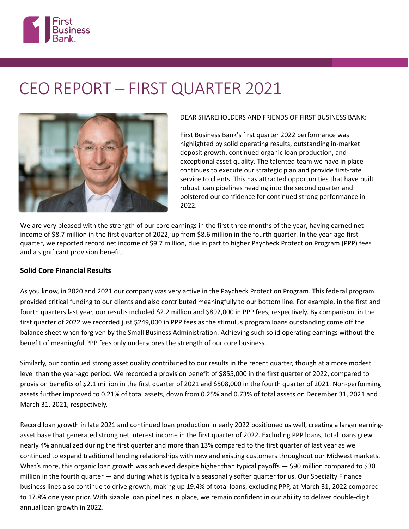

# CEO REPORT – FIRST QUARTER 2021



DEAR SHAREHOLDERS AND FRIENDS OF FIRST BUSINESS BANK:

First Business Bank's first quarter 2022 performance was highlighted by solid operating results, outstanding in-market deposit growth, continued organic loan production, and exceptional asset quality. The talented team we have in place continues to execute our strategic plan and provide first-rate service to clients. This has attracted opportunities that have built robust loan pipelines heading into the second quarter and bolstered our confidence for continued strong performance in 2022.

We are very pleased with the strength of our core earnings in the first three months of the year, having earned net income of \$8.7 million in the first quarter of 2022, up from \$8.6 million in the fourth quarter. In the year-ago first quarter, we reported record net income of \$9.7 million, due in part to higher Paycheck Protection Program (PPP) fees and a significant provision benefit.

# **Solid Core Financial Results**

As you know, in 2020 and 2021 our company was very active in the Paycheck Protection Program. This federal program provided critical funding to our clients and also contributed meaningfully to our bottom line. For example, in the first and fourth quarters last year, our results included \$2.2 million and \$892,000 in PPP fees, respectively. By comparison, in the first quarter of 2022 we recorded just \$249,000 in PPP fees as the stimulus program loans outstanding come off the balance sheet when forgiven by the Small Business Administration. Achieving such solid operating earnings without the benefit of meaningful PPP fees only underscores the strength of our core business.

Similarly, our continued strong asset quality contributed to our results in the recent quarter, though at a more modest level than the year-ago period. We recorded a provision benefit of \$855,000 in the first quarter of 2022, compared to provision benefits of \$2.1 million in the first quarter of 2021 and \$508,000 in the fourth quarter of 2021. Non-performing assets further improved to 0.21% of total assets, down from 0.25% and 0.73% of total assets on December 31, 2021 and March 31, 2021, respectively.

Record loan growth in late 2021 and continued loan production in early 2022 positioned us well, creating a larger earningasset base that generated strong net interest income in the first quarter of 2022. Excluding PPP loans, total loans grew nearly 4% annualized during the first quarter and more than 13% compared to the first quarter of last year as we continued to expand traditional lending relationships with new and existing customers throughout our Midwest markets. What's more, this organic loan growth was achieved despite higher than typical payoffs - \$90 million compared to \$30 million in the fourth quarter — and during what is typically a seasonally softer quarter for us. Our Specialty Finance business lines also continue to drive growth, making up 19.4% of total loans, excluding PPP, at March 31, 2022 compared to 17.8% one year prior. With sizable loan pipelines in place, we remain confident in our ability to deliver double-digit annual loan growth in 2022.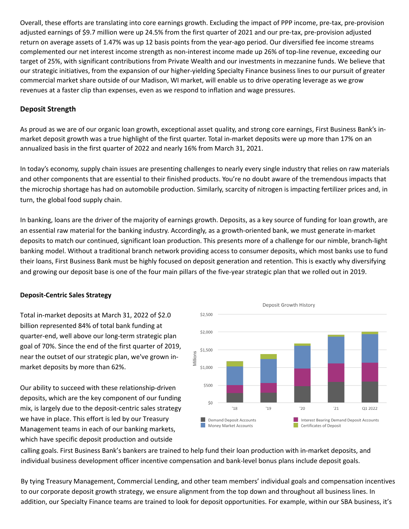Overall, these efforts are translating into core earnings growth. Excluding the impact of PPP income, pre-tax, pre-provision adjusted earnings of \$9.7 million were up 24.5% from the first quarter of 2021 and our pre-tax, pre-provision adjusted return on average assets of 1.47% was up 12 basis points from the year-ago period. Our diversified fee income streams complemented our net interest income strength as non-interest income made up 26% of top-line revenue, exceeding our target of 25%, with significant contributions from Private Wealth and our investments in mezzanine funds. We believe that our strategic initiatives, from the expansion of our higher-yielding Specialty Finance business lines to our pursuit of greater commercial market share outside of our Madison, WI market, will enable us to drive operating leverage as we grow revenues at a faster clip than expenses, even as we respond to inflation and wage pressures.

## **Deposit Strength**

As proud as we are of our organic loan growth, exceptional asset quality, and strong core earnings, First Business Bank's inmarket deposit growth was a true highlight of the first quarter. Total in-market deposits were up more than 17% on an annualized basis in the first quarter of 2022 and nearly 16% from March 31, 2021.

In today's economy, supply chain issues are presenting challenges to nearly every single industry that relies on raw materials and other components that are essential to their finished products. You're no doubt aware of the tremendous impacts that the microchip shortage has had on automobile production. Similarly, scarcity of nitrogen is impacting fertilizer prices and, in turn, the global food supply chain.

In banking, loans are the driver of the majority of earnings growth. Deposits, as a key source of funding for loan growth, are an essential raw material for the banking industry. Accordingly, as a growth-oriented bank, we must generate in-market deposits to match our continued, significant loan production. This presents more of a challenge for our nimble, branch-light banking model. Without a traditional branch network providing access to consumer deposits, which most banks use to fund their loans, First Business Bank must be highly focused on deposit generation and retention. This is exactly why diversifying and growing our deposit base is one of the four main pillars of the five-year strategic plan that we rolled out in 2019.

#### **Deposit-Centric Sales Strategy**

Total in-market deposits at March 31, 2022 of \$2.0 billion represented 84% of total bank funding at quarter-end, well above our long-term strategic plan goal of 70%. Since the end of the first quarter of 2019, near the outset of our strategic plan, we've grown inmarket deposits by more than 62%.

Our ability to succeed with these relationship-driven deposits, which are the key component of our funding mix, is largely due to the deposit-centric sales strategy we have in place. This effort is led by our Treasury Management teams in each of our banking markets, which have specific deposit production and outside



calling goals. First Business Bank's bankers are trained to help fund their loan production with in-market deposits, and individual business development officer incentive compensation and bank-level bonus plans include deposit goals.

By tying Treasury Management, Commercial Lending, and other team members' individual goals and compensation incentives to our corporate deposit growth strategy, we ensure alignment from the top down and throughout all business lines. In addition, our Specialty Finance teams are trained to look for deposit opportunities. For example, within our SBA business, it's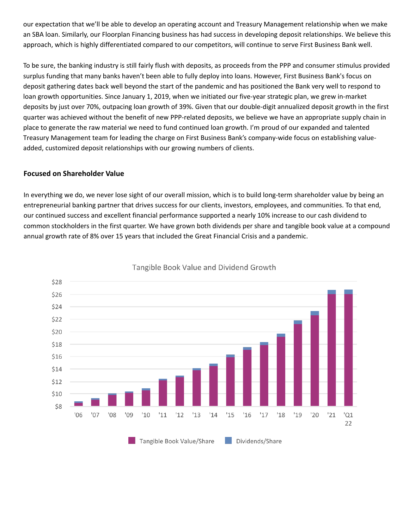our expectation that we'll be able to develop an operating account and Treasury Management relationship when we make an SBA loan. Similarly, our Floorplan Financing business has had success in developing deposit relationships. We believe this approach, which is highly differentiated compared to our competitors, will continue to serve First Business Bank well.

To be sure, the banking industry is still fairly flush with deposits, as proceeds from the PPP and consumer stimulus provided surplus funding that many banks haven't been able to fully deploy into loans. However, First Business Bank's focus on deposit gathering dates back well beyond the start of the pandemic and has positioned the Bank very well to respond to loan growth opportunities. Since January 1, 2019, when we initiated our five-year strategic plan, we grew in-market deposits by just over 70%, outpacing loan growth of 39%. Given that our double-digit annualized deposit growth in the first quarter was achieved without the benefit of new PPP-related deposits, we believe we have an appropriate supply chain in place to generate the raw material we need to fund continued loan growth. I'm proud of our expanded and talented Treasury Management team for leading the charge on First Business Bank's company-wide focus on establishing valueadded, customized deposit relationships with our growing numbers of clients.

### **Focused on Shareholder Value**

In everything we do, we never lose sight of our overall mission, which is to build long-term shareholder value by being an entrepreneurial banking partner that drives success for our clients, investors, employees, and communities. To that end, our continued success and excellent financial performance supported a nearly 10% increase to our cash dividend to common stockholders in the first quarter. We have grown both dividends per share and tangible book value at a compound annual growth rate of 8% over 15 years that included the Great Financial Crisis and a pandemic.



Tangible Book Value and Dividend Growth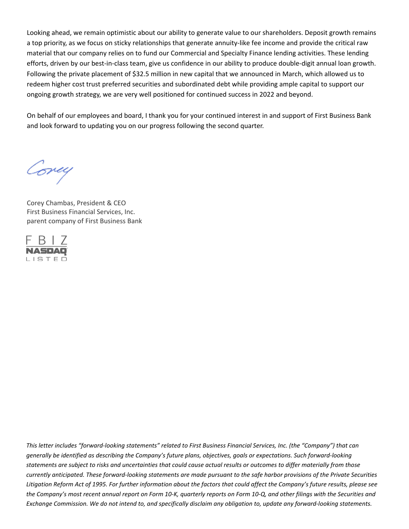Looking ahead, we remain optimistic about our ability to generate value to our shareholders. Deposit growth remains a top priority, as we focus on sticky relationships that generate annuity-like fee income and provide the critical raw material that our company relies on to fund our Commercial and Specialty Finance lending activities. These lending efforts, driven by our best-in-class team, give us confidence in our ability to produce double-digit annual loan growth. Following the private placement of \$32.5 million in new capital that we announced in March, which allowed us to redeem higher cost trust preferred securities and subordinated debt while providing ample capital to support our ongoing growth strategy, we are very well positioned for continued success in 2022 and beyond.

On behalf of our employees and board, I thank you for your continued interest in and support of First Business Bank and look forward to updating you on our progress following the second quarter.

Covey

Corey Chambas, President & CEO First Business Financial Services, Inc. parent company of First Business Bank



*This letter includes "forward-looking statements" related to First Business Financial Services, Inc. (the "Company") that can generally be identified as describing the Company's future plans, objectives, goals or expectations. Such forward-looking*  statements are subject to risks and uncertainties that could cause actual results or outcomes to differ materially from those *currently anticipated. These forward-looking statements are made pursuant to the safe harbor provisions of the Private Securities*  Litigation Reform Act of 1995. For further information about the factors that could affect the Company's future results, please see *the Company's most recent annual report on Form 10-K, quarterly reports on Form 10-Q, and other filings with the Securities and Exchange Commission. We do not intend to, and specifically disclaim any obligation to, update any forward-looking statements.*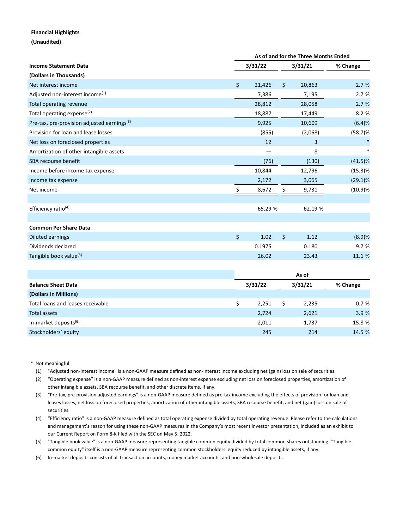#### **Financial Highlights**

**(Unaudited)**

|                                                         |  | As of and for the Three Months Ended |         |         |         |            |  |  |
|---------------------------------------------------------|--|--------------------------------------|---------|---------|---------|------------|--|--|
| <b>Income Statement Data</b>                            |  | 3/31/22                              |         | 3/31/21 |         | % Change   |  |  |
| (Dollars in Thousands)                                  |  |                                      |         |         |         |            |  |  |
| Net interest income                                     |  | $\zeta$                              | 21,426  | \$      | 20,863  | 2.7%       |  |  |
| Adjusted non-interest income <sup>(1)</sup>             |  |                                      | 7,386   |         | 7,195   | 2.7%       |  |  |
| Total operating revenue                                 |  |                                      | 28,812  |         | 28,058  | 2.7%       |  |  |
| Total operating expense <sup>(2)</sup>                  |  |                                      | 18,887  |         | 17,449  | 8.2 %      |  |  |
| Pre-tax, pre-provision adjusted earnings <sup>(3)</sup> |  |                                      | 9,925   |         | 10,609  | (6.4)%     |  |  |
| Provision for loan and lease losses                     |  |                                      | (855)   |         | (2,068) | (58.7)%    |  |  |
| Net loss on foreclosed properties                       |  |                                      | 12      |         | 3       |            |  |  |
| Amortization of other intangible assets                 |  |                                      |         |         | 8       |            |  |  |
| SBA recourse benefit                                    |  |                                      | (76)    |         | (130)   | $(41.5)\%$ |  |  |
| Income before income tax expense                        |  |                                      | 10,844  |         | 12,796  | (15.3)%    |  |  |
| Income tax expense                                      |  |                                      | 2,172   |         | 3,065   | $(29.1)\%$ |  |  |
| Net income                                              |  | \$.                                  | 8,672   | \$      | 9,731   | (10.9)%    |  |  |
|                                                         |  |                                      |         |         |         |            |  |  |
| Efficiency ratio <sup>(4)</sup>                         |  | 65.29 %                              |         |         | 62.19 % |            |  |  |
|                                                         |  |                                      |         |         |         |            |  |  |
| <b>Common Per Share Data</b>                            |  |                                      |         |         |         |            |  |  |
| <b>Diluted earnings</b>                                 |  | \$                                   | 1.02    | \$      | 1.12    | (8.9)%     |  |  |
| Dividends declared                                      |  |                                      | 0.1975  |         | 0.180   | 9.7%       |  |  |
| Tangible book value <sup>(5)</sup>                      |  |                                      | 26.02   |         | 23.43   | 11.1 %     |  |  |
|                                                         |  |                                      |         |         |         |            |  |  |
|                                                         |  | As of                                |         |         |         |            |  |  |
| <b>Balance Sheet Data</b>                               |  |                                      | 3/31/22 |         | 3/31/21 | % Change   |  |  |

| <b>Balance Sheet Data</b>         | 3/31/22 |  | 3/31/21 | % Change |  |
|-----------------------------------|---------|--|---------|----------|--|
| (Dollars in Millions)             |         |  |         |          |  |
| Total loans and leases receivable | 2.251   |  | 2,235   | 0.7%     |  |
| Total assets                      | 2,724   |  | 2,621   | 3.9%     |  |
| In-market deposits <sup>(6)</sup> | 2.011   |  | 1.737   | 15.8 %   |  |
| Stockholders' equity              | 245     |  | 214     | 14.5 %   |  |

<sup>\*</sup> Not meaningful

- (1) "Adjusted non-interest income" is a non-GAAP measure defined as non-interest income excluding net (gain) loss on sale of securities.
- (2) "Operating expense" is a non-GAAP measure defined as non-interest expense excluding net loss on foreclosed properties, amortization of other intangible assets, SBA recourse benefit, and other discrete items, if any.
- (3) "Pre-tax, pre-provision adjusted earnings" is a non-GAAP measure defined as pre-tax income excluding the effects of provision for loan and leases losses, net loss on foreclosed properties, amortization of other intangible assets, SBA recourse benefit, and net (gain) loss on sale of securities.
- (4) "Efficiency ratio" is a non-GAAP measure defined as total operating expense divided by total operating revenue. Please refer to the calculations and management's reason for using these non-GAAP measures in the Company's most recent investor presentation, included as an exhibit to our Current Report on Form 8-K filed with the SEC on May 5, 2022.
- (5) "Tangible book value" is a non-GAAP measure representing tangible common equity divided by total common shares outstanding. "Tangible common equity" itself is a non-GAAP measure representing common stockholders' equity reduced by intangible assets, if any.
- (6) In-market deposits consists of all transaction accounts, money market accounts, and non-wholesale deposits.